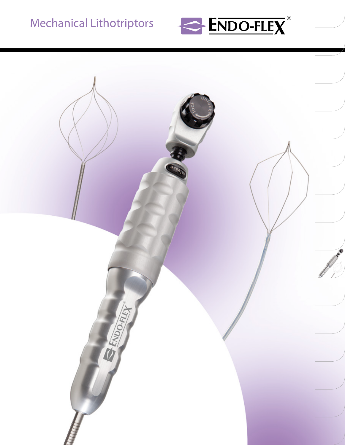



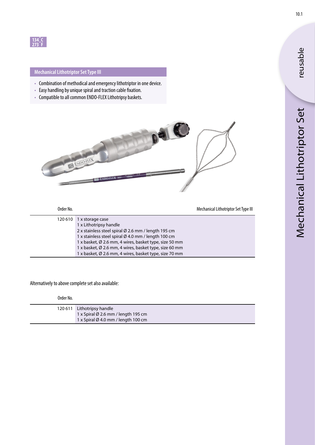

## **Mechanical Lithotriptor Set Type III**

- Combination of methodical and emergency lithotriptor in one device.
- Easy handling by unique spiral and traction cable fixation.
- Compatible to all common ENDO-FLEX Lithotripsy baskets.



| Order No. | Mechanical Lithotriptor Set Type III                   |
|-----------|--------------------------------------------------------|
| 120 610   | 1 x storage case                                       |
|           | 1 x Lithotripsy handle                                 |
|           | 2 x stainless steel spiral Ø 2.6 mm / length 195 cm    |
|           | 1 x stainless steel spiral Ø 4.0 mm / length 100 cm    |
|           | 1 x basket, Ø 2.6 mm, 4 wires, basket type, size 50 mm |
|           | 1 x basket, Ø 2.6 mm, 4 wires, basket type, size 60 mm |
|           | 1 x basket, Ø 2.6 mm, 4 wires, basket type, size 70 mm |

## Alternatively to above complete set also available:

Order No.

| 120 611 Lithotripsy handle                    |
|-----------------------------------------------|
| 1 x Spiral $\emptyset$ 2.6 mm / length 195 cm |
| 1 x Spiral $\emptyset$ 4.0 mm / length 100 cm |